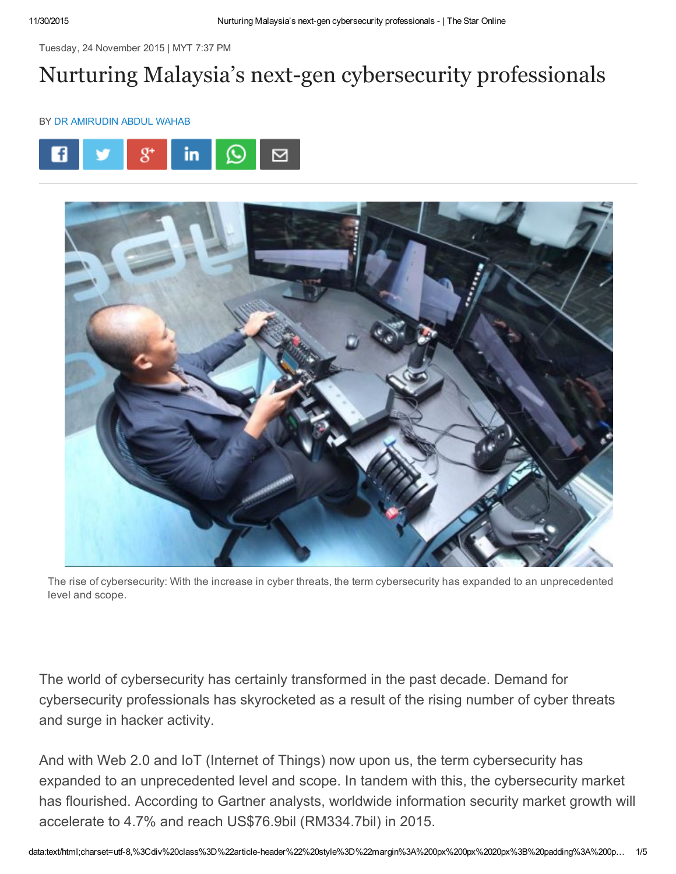Tuesday, 24 November 2015 | MYT 7:37 PM

# Nurturing Malaysia's next-gen cybersecurity professionals

#### BY DR [AMIRUDIN](http://www.thestar.com.my/authors?q=%22Dr+Amirudin+Abdul+Wahab%22) ABDUL WAHAB





The rise of cybersecurity: With the increase in cyber threats, the term cybersecurity has expanded to an unprecedented level and scope.

The world of cybersecurity has certainly transformed in the past decade. Demand for cybersecurity professionals has skyrocketed as a result of the rising number of cyber threats and surge in hacker activity.

And with Web 2.0 and IoT (Internet of Things) now upon us, the term cybersecurity has expanded to an unprecedented level and scope. In tandem with this, the cybersecurity market has flourished. According to Gartner analysts, worldwide information security market growth will accelerate to 4.7% and reach US\$76.9bil (RM334.7bil) in 2015.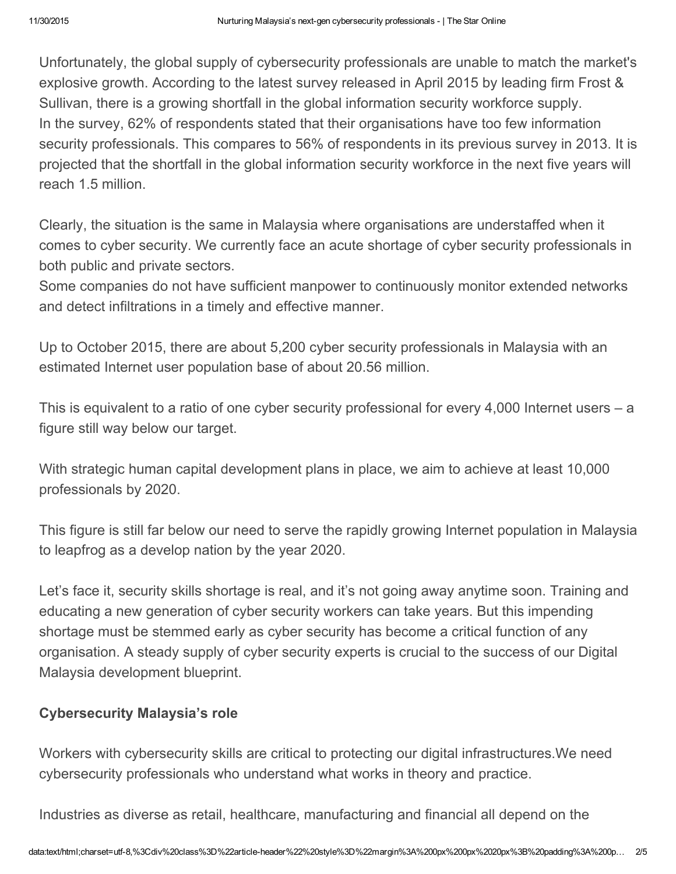Unfortunately, the global supply of cybersecurity professionals are unable to match the market's explosive growth. According to the latest survey released in April 2015 by leading firm Frost & Sullivan, there is a growing shortfall in the global information security workforce supply. In the survey, 62% of respondents stated that their organisations have too few information security professionals. This compares to 56% of respondents in its previous survey in 2013. It is projected that the shortfall in the global information security workforce in the next five years will reach 1.5 million.

Clearly, the situation is the same in Malaysia where organisations are understaffed when it comes to cyber security. We currently face an acute shortage of cyber security professionals in both public and private sectors.

Some companies do not have sufficient manpower to continuously monitor extended networks and detect infiltrations in a timely and effective manner.

Up to October 2015, there are about 5,200 cyber security professionals in Malaysia with an estimated Internet user population base of about 20.56 million.

This is equivalent to a ratio of one cyber security professional for every 4,000 Internet users – a figure still way below our target.

With strategic human capital development plans in place, we aim to achieve at least 10,000 professionals by 2020.

This figure is still far below our need to serve the rapidly growing Internet population in Malaysia to leapfrog as a develop nation by the year 2020.

Let's face it, security skills shortage is real, and it's not going away anytime soon. Training and educating a new generation of cyber security workers can take years. But this impending shortage must be stemmed early as cyber security has become a critical function of any organisation. A steady supply of cyber security experts is crucial to the success of our Digital Malaysia development blueprint.

# Cybersecurity Malaysia's role

Workers with cybersecurity skills are critical to protecting our digital infrastructures.We need cybersecurity professionals who understand what works in theory and practice.

Industries as diverse as retail, healthcare, manufacturing and financial all depend on the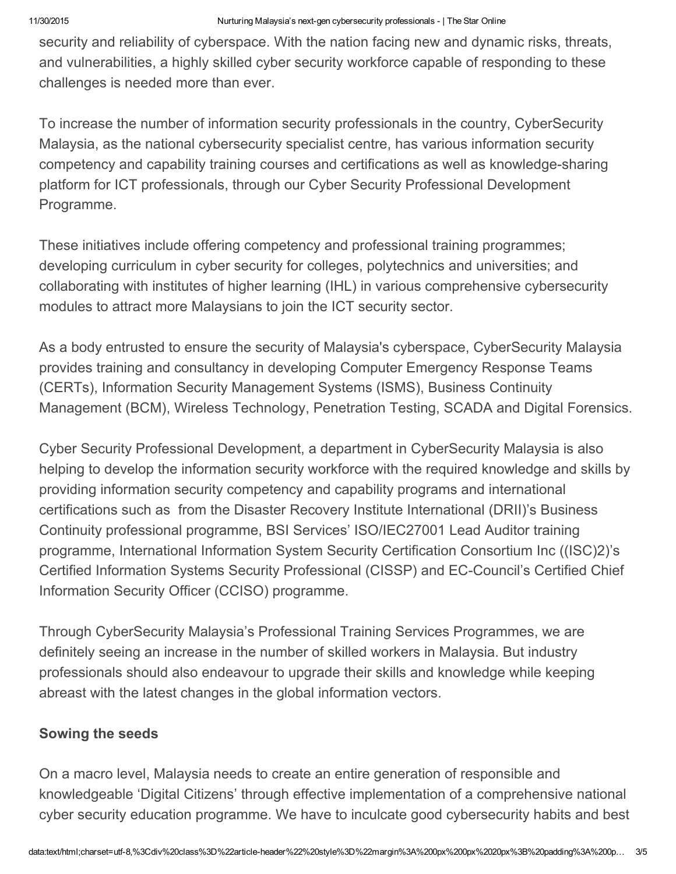security and reliability of cyberspace. With the nation facing new and dynamic risks, threats, and vulnerabilities, a highly skilled cyber security workforce capable of responding to these challenges is needed more than ever.

To increase the number of information security professionals in the country, CyberSecurity Malaysia, as the national cybersecurity specialist centre, has various information security competency and capability training courses and certifications as well as knowledge-sharing platform for ICT professionals, through our Cyber Security Professional Development Programme.

These initiatives include offering competency and professional training programmes; developing curriculum in cyber security for colleges, polytechnics and universities; and collaborating with institutes of higher learning (IHL) in various comprehensive cybersecurity modules to attract more Malaysians to join the ICT security sector.

As a body entrusted to ensure the security of Malaysia's cyberspace, CyberSecurity Malaysia provides training and consultancy in developing Computer Emergency Response Teams (CERTs), Information Security Management Systems (ISMS), Business Continuity Management (BCM), Wireless Technology, Penetration Testing, SCADA and Digital Forensics.

Cyber Security Professional Development, a department in CyberSecurity Malaysia is also helping to develop the information security workforce with the required knowledge and skills by providing information security competency and capability programs and international certifications such as from the Disaster Recovery Institute International (DRII)'s Business Continuity professional programme, BSI Services' ISO/IEC27001 Lead Auditor training programme, International Information System Security Certification Consortium Inc ((ISC)2)'s Certified Information Systems Security Professional (CISSP) and EC-Council's Certified Chief Information Security Officer (CCISO) programme.

Through CyberSecurity Malaysia's Professional Training Services Programmes, we are definitely seeing an increase in the number of skilled workers in Malaysia. But industry professionals should also endeavour to upgrade their skills and knowledge while keeping abreast with the latest changes in the global information vectors.

### Sowing the seeds

On a macro level, Malaysia needs to create an entire generation of responsible and knowledgeable 'Digital Citizens' through effective implementation of a comprehensive national cyber security education programme. We have to inculcate good cybersecurity habits and best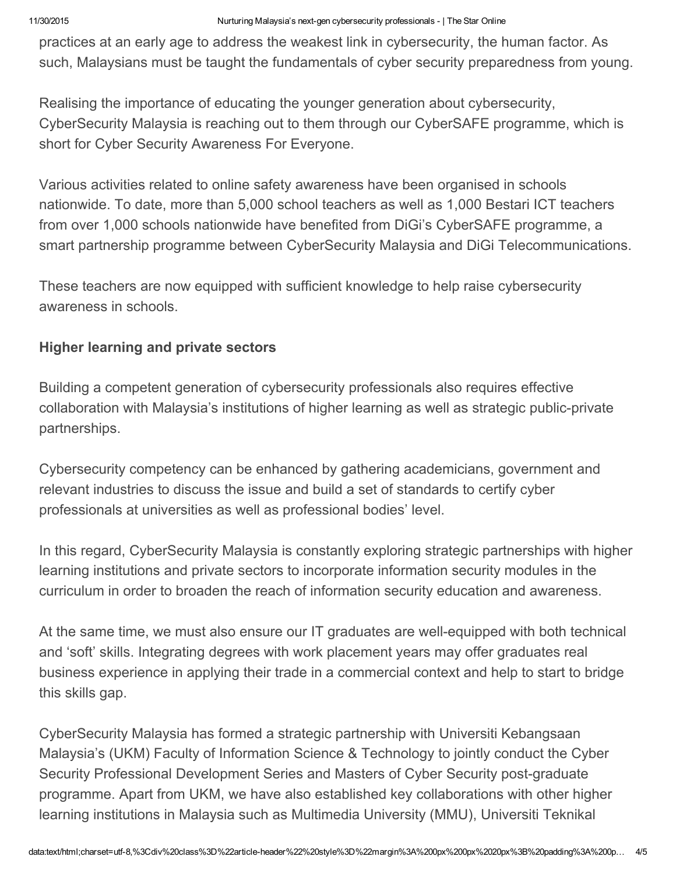practices at an early age to address the weakest link in cybersecurity, the human factor. As such, Malaysians must be taught the fundamentals of cyber security preparedness from young.

Realising the importance of educating the younger generation about cybersecurity, CyberSecurity Malaysia is reaching out to them through our CyberSAFE programme, which is short for Cyber Security Awareness For Everyone.

Various activities related to online safety awareness have been organised in schools nationwide. To date, more than 5,000 school teachers as well as 1,000 Bestari ICT teachers from over 1,000 schools nationwide have benefited from DiGi's CyberSAFE programme, a smart partnership programme between CyberSecurity Malaysia and DiGi Telecommunications.

These teachers are now equipped with sufficient knowledge to help raise cybersecurity awareness in schools.

## Higher learning and private sectors

Building a competent generation of cybersecurity professionals also requires effective collaboration with Malaysia's institutions of higher learning as well as strategic public-private partnerships.

Cybersecurity competency can be enhanced by gathering academicians, government and relevant industries to discuss the issue and build a set of standards to certify cyber professionals at universities as well as professional bodies' level.

In this regard, CyberSecurity Malaysia is constantly exploring strategic partnerships with higher learning institutions and private sectors to incorporate information security modules in the curriculum in order to broaden the reach of information security education and awareness.

At the same time, we must also ensure our IT graduates are well-equipped with both technical and 'soft' skills. Integrating degrees with work placement years may offer graduates real business experience in applying their trade in a commercial context and help to start to bridge this skills gap.

CyberSecurity Malaysia has formed a strategic partnership with Universiti Kebangsaan Malaysia's (UKM) Faculty of Information Science & Technology to jointly conduct the Cyber Security Professional Development Series and Masters of Cyber Security post-graduate programme. Apart from UKM, we have also established key collaborations with other higher learning institutions in Malaysia such as Multimedia University (MMU), Universiti Teknikal